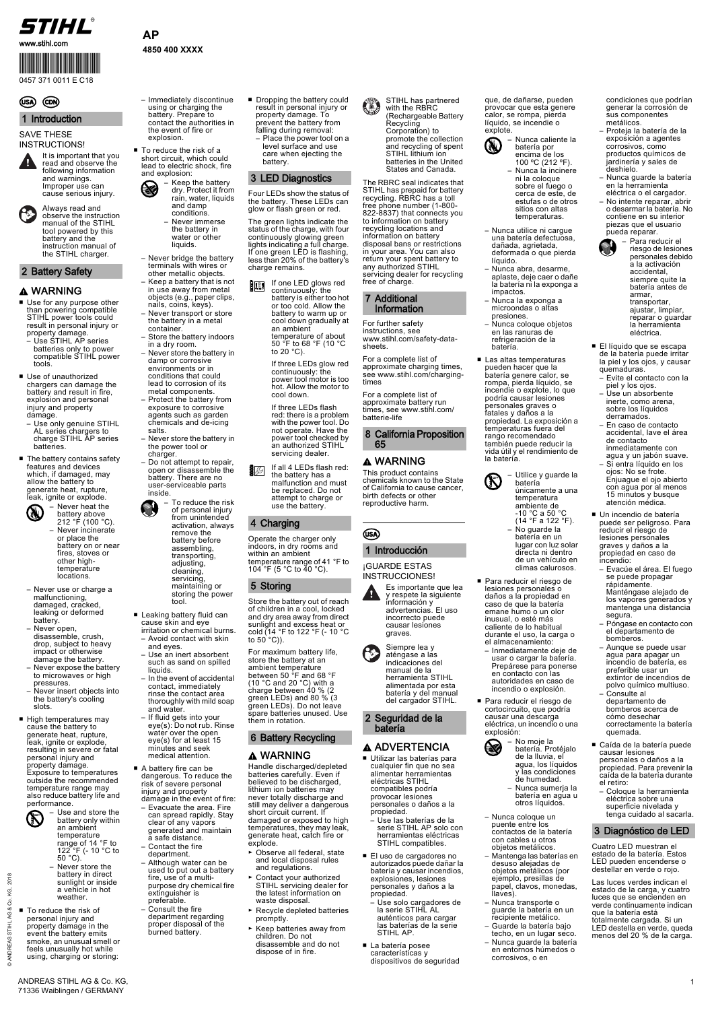1

www.stihl.com

© ANDREAS STIHL AG & Co. KG, 2018

© ANDREAS STIHL AG & Co. KG,

2018

### **AP 4850 400 XXXX**

ANDREAS STIHL AG & Co. KG, 71336 Waiblingen / GERMANY

#### SAVE THESE INSTRUCTIONS!

- Use for any purpose other than powering compatible STIHL power tools could result in personal injury or property damage.
- Use STIHL AP series batteries only to power compatible STIHL power tools.
- Use of unauthorized chargers can damage the battery and result in fire, explosion and personal injury and property damage.
- Use only genuine STIHL AL series chargers to charge STIHL AP series batteries.
- The battery contains safety features and devices which, if damaged, may allow the battery to generate heat, rupture, leak, ignite or explode.

■ To reduce the risk of a short circuit, which could lead to electric shock, fire and explosion:

property damage. Exposure to temperatures outside the recommended temperature range may also reduce battery life and performance.



– Immediately discontinue using or charging the battery. Prepare to contact the authorities in the event of fire or explosion.

- Dropping the battery could result in personal injury or property damage. To prevent the battery from falling during removal:
	- Place the power tool on a level surface and use care when ejecting the battery.

Four LEDs show the status of the battery. These LEDs can glow or flash green or red.

Store the battery out of reach of children in a cool, locked and dry area away from direct sunlight and excess heat or cold (14 °F to 122 °F (- 10 °C to 50  $^{\circ}$ C)).

#### A ADVERTENCIA ■ Utilizar las baterías para

The green lights indicate the status of the charge, with four continuously glowing green lights indicating a full charge. If one green LED is flashing, less than 20% of the battery's charge remains.

- Para reducir el riesgo de lesiones personales o daños a la propiedad en caso de que la batería emane humo o un olor inusual, o esté más caliente de lo habitual durante el uso, la carga o el almacenamiento:
	- Inmediatamente deje de usar o cargar la batería. Prepárese para ponerse en contacto con las autoridades en caso de incendio o explosión.
- Para reducir el riesgo de cortocircuito, que podría causar una descarga eléctrica, un incendio o una explosión:

Operate the charger only indoors, in dry rooms and within an ambient temperature range of 41 °F to 104 °F (5 °C to 40 °C).

For maximum battery life, store the battery at an ambient temperature between 50 °F and 68 °F (10 °C and 20 °C) with a charge between 40 % (2 green LEDs) and 80 % (3 green LEDs). Do not leave spare batteries unused. Use them in rotation.

> ■ Caída de la batería puede causar lesiones

The RBRC seal indicates that STIHL has prepaid for battery recycling. RBRC has a toll free phone number (1-800- 822-8837) that connects you to information on battery recycling locations and information on battery disposal bans or restrictions in your area. You can also return your spent battery to any authorized STIHL servicing dealer for recycling free of charge.

battery only within an ambient temperature range of 14 °F to 122 °F (- 10 °C to  $50^{\circ}$ C).

For further safety instructions, see www.stihl.com/safety-datasheets.

For a complete list of approximate charging times, see www.stihl.com/chargingtimes

If one LED glows red ELSI continuously: the battery is either too hot or too cold. Allow the battery to warm up or cool down gradually at an ambient temperature of about 50 °F to 68 °F (10 °C to 20 $°C$ )

> For a complete list of approximate battery run times, see www.stihl.com/ batterie-life

This product contains chemicals known to the State of California to cause cancer, birth defects or other reproductive harm.



¡GUARDE ESTAS INSTRUCCIONES!

- battery above 212 °F (100 °C). – Never incinerate or place the battery on or near fires, stoves or other hightemperature locations.
- Never use or charge a malfunctioning, damaged, cracked, leaking or deformed battery.
- Never open, disassemble, crush, drop, subject to heavy impact or otherwise damage the battery.
- Never expose the battery to microwaves or high pressures. – Never insert objects into
- the battery's cooling slots.
- High temperatures may cause the battery to generate heat, rupture, leak, ignite or explode, resulting in severe or fatal personal injury and
- cualquier fin que no sea alimentar herramientas eléctricas STIHL compatibles podría provocar lesiones personales o daños a la propiedad.
- Use las baterías de la serie STIHL AP solo con herramientas eléctricas STIHL compatibles.
- El uso de cargadores no autorizados puede dañar la batería y causar incendios, explosiones, lesiones personales y daños a la propiedad.
- Use solo cargadores de la serie STIHL AL auténticos para cargar las baterías de la serie STIHL AP.
- La batería posee características y dispositivos de seguridad

que, de dañarse, pueden provocar que esta genere calor, se rompa, pierda líquido, se incendie o explote.

- Keep the battery dry. Protect it from rain, water, liquids and damp conditions.
	- Never immerse the battery in water or other liquids.
- Never bridge the battery terminals with wires or other metallic objects.
- Keep a battery that is not in use away from metal objects (e.g., paper clips, nails, coins, keys).
- Never transport or store the battery in a metal container.
- Store the battery indoors in a dry room.
- Never store the battery in damp or corrosive environments or in conditions that could lead to corrosion of its metal components.
- Protect the battery from exposure to corrosive agents such as garden chemicals and de-icing salts.
- Never store the battery in the power tool or charger.
- Do not attempt to repair, open or disassemble the battery. There are no user-serviceable parts inside.
	- To reduce the risk of personal injury from unintended activation, always remove the battery before assembling, transporting, adjusting, cleaning, servicing, maintaining or storing the power tool.
- Leaking battery fluid can cause skin and eye irritation or chemical burns.
- Avoid contact with skin and eyes. – Use an inert absorbent
- such as sand on spilled liquids.
- In the event of accidental contact, immediately rinse the contact area thoroughly with mild soap and water.
- If fluid gets into your eye(s): Do not rub. Rinse water over the open eye(s) for at least 15 minutes and seek medical attention.
- Nunca utilice ni cargue una batería defectuosa, dañada, agrietada, deformada o que pierda líquido.
- Nunca abra, desarme, aplaste, deje caer o dañe la batería ni la exponga a impactos.
- Nunca la exponga a microondas o altas presiones.
- Nunca coloque objetos en las ranuras de refrigeración de la batería.
- Las altas temperaturas pueden hacer que la batería genere calor, se rompa, pierda líquido, se incendie o explote, lo que podría causar lesiones personales graves o fatales y daños a la propiedad. La exposición a temperaturas fuera del rango recomendado también puede reducir la vida útil y el rendimiento de la batería.

- Never store the battery in direct sunlight or inside a vehicle in hot weather.
- To reduce the risk of personal injury and property damage in the event the battery emits smoke, an unusual smell or feels unusually hot while using, charging or storing:
- A battery fire can be dangerous. To reduce the risk of severe personal injury and property damage in the event of fire: – Evacuate the area. Fire can spread rapidly. Stay
	- clear of any vapors generated and maintain a safe distance.
	- Contact the fire department.
	- Although water can be used to put out a battery fire, use of a multipurpose dry chemical fire extinguisher is preferable.
	- Consult the fire department regarding proper disposal of the burned battery.
- Handle discharged/depleted batteries carefully. Even if believed to be discharged, lithium ion batteries may never totally discharge and still may deliver a dangerous short circuit current. If damaged or exposed to high temperatures, they may leak, generate heat, catch fire or explode.
- ► Observe all federal, state and local disposal rules and regulations.
- ► Contact your authorized STIHL servicing dealer for the latest information on waste disposal.
- ► Recycle depleted batteries promptly.
- ► Keep batteries away from children. Do not disassemble and do not dispose of in fire.

condiciones que podrían generar la corrosión de sus componentes metálicos.

agua para apagar un incendio de batería, es preferible usar un extintor de incendios de polvo químico multiuso.

– Consulte al departamento de bomberos acerca de cómo desechar

correctamente la batería

quemada.

personales o daños a la propiedad. Para prevenir la caída de la batería durante el retiro:

– Coloque la herramienta eléctrica sobre una superficie nivelada y tenga cuidado al sacarla.

Cuatro LED muestran el estado de la batería. Estos LED pueden encenderse o destellar en verde o rojo.

Las luces verdes indican el estado de la carga, y cuatro luces que se encienden en verde continuamente indican que la batería está totalmente cargada. Si un LED destella en verde, queda menos del 20 % de la carga.

#### 1 Introduction



cause serious injury.

Always read and observe the instruction manual of the STIHL tool powered by this battery and the instruction manual of the STIHL charger.

### 2 Battery Safety

# A WARNING



- agua, los líquidos y las condiciones de humedad.
- Nunca sumerja la batería en agua u otros líquidos.
- Nunca coloque un puente entre los contactos de la batería con cables u otros objetos metálicos.
- Mantenga las baterías en desuso alejadas de objetos metálicos (por ejemplo, presillas de papel, clavos, monedas, llaves).
- Nunca transporte o guarde la batería en un recipiente metálico.
- Guarde la batería bajo techo, en un lugar seco.
- Nunca guarde la batería en entornos húmedos o corrosivos, o en
- Proteja la batería de la exposición a agentes corrosivos, como productos químicos de jardinería y sales de deshielo.
- Nunca guarde la batería en la herramienta eléctrica o el cargador.
- No intente reparar, abrir o desarmar la batería. No contiene en su interior piezas que el usuario pueda reparar. – Para reducir el



– Use and store the

#### 3 LED Diagnostics

- riesgo de lesiones personales debido a la activación accidental, siempre quite la batería antes de armar, transportar, ajustar, limpiar, reparar o guardar la herramienta eléctrica.
- El líquido que se escapa de la batería puede irritar la piel y los ojos, y causar quemaduras.
- Evite el contacto con la piel y los ojos.
- Use un absorbente inerte, como arena, sobre los líquidos derramados.
- En caso de contacto accidental, lave el área de contacto inmediatamente con agua y un jabón suave.
- Si entra líquido en los ojos: No se frote. Enjuague el ojo abierto con agua por al menos 15 minutos y busque atención médica.
- Un incendio de batería puede ser peligroso. Para reducir el riesgo de lesiones personales graves y daños a la propiedad en caso de incendio:
- Evacúe el área. El fuego se puede propagar rápidamente. Manténgase alejado de los vapores generados y mantenga una distancia segura.
- Póngase en contacto con el departamento de bomberos. – Aunque se puede usar

If three LEDs glow red continuously: the power tool motor is too hot. Allow the motor to cool down.

If three LEDs flash red: there is a problem with the power tool. Do not operate. Have the power tool checked by an authorized STIHL servicing dealer.

If all 4 LEDs flash red:  $\mathbb{R}$ the battery has a malfunction and must be replaced. Do not attempt to charge or use the battery.

# 4 Charging

# 5 Storing

# 6 Battery Recycling

### **A WARNING**

STIHL has partnered with the RBRC (Rechargeable Battery Recycling Corporation) to promote the collection and recycling of spent STIHL lithium ion batteries in the United States and Canada.

#### 7 Additional Information

#### 8 California Proposition 65

### A WARNING

# 1 Introducción





aténgase a las indicaciones del manual de la herramienta STIHL alimentada por esta batería y del manual del cargador STIHL.

2 Seguridad de la batería



– Utilice y guarde la **Comparison Comparison Comparison Comparison Comparison Comparison Comparison Comparison Comparison Comparison Comparison Comparison Comparison Comparison Comparison Comparison Comparison Comparison Comparison Comparison C** batería únicamente a una temperatura

ambiente de -10 °C a 50 °C (14 °F a 122 °F). – No guarde la batería en un lugar con luz solar directa ni dentro de un vehículo en

climas calurosos.



# 3 Diagnóstico de LED

# STIHL®



# (USA) (CDN)